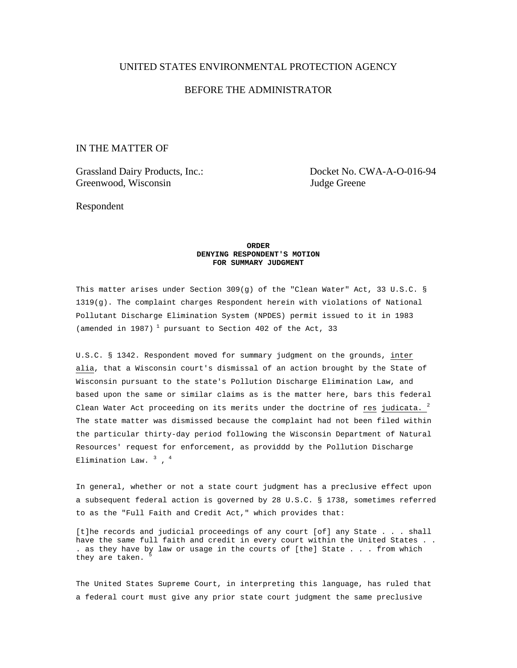## UNITED STATES ENVIRONMENTAL PROTECTION AGENCY

# BEFORE THE ADMINISTRATOR

# IN THE MATTER OF

Greenwood, Wisconsin Judge Greene

Grassland Dairy Products, Inc.: Docket No. CWA-A-O-016-94

Respondent

### **ORDER DENYING RESPONDENT'S MOTION FOR SUMMARY JUDGMENT**

This matter arises under Section 309(g) of the "Clean Water" Act, 33 U.S.C. § 1319(g). The complaint charges Respondent herein with violations of National Pollutant Discharge Elimination System (NPDES) permit issued to it in 1983 (amended in 1987)<sup>1</sup> pursuant to Section 402 of the Act, 33

U.S.C. § 1342. Respondent moved for summary judgment on the grounds, inter alia, that a Wisconsin court's dismissal of an action brought by the State of Wisconsin pursuant to the state's Pollution Discharge Elimination Law, and based upon the same or similar claims as is the matter here, bars this federal Clean Water Act proceeding on its merits under the doctrine of res judicata.  $2$ The state matter was dismissed because the complaint had not been filed within the particular thirty-day period following the Wisconsin Department of Natural Resources' request for enforcement, as providdd by the Pollution Discharge Elimination Law.  $^3$  ,  $^4$ 

In general, whether or not a state court judgment has a preclusive effect upon a subsequent federal action is governed by 28 U.S.C. § 1738, sometimes referred to as the "Full Faith and Credit Act," which provides that:

[t]he records and judicial proceedings of any court [of] any State . . . shall have the same full faith and credit in every court within the United States . . . as they have by law or usage in the courts of [the] State . . . from which they are taken.

The United States Supreme Court, in interpreting this language, has ruled that a federal court must give any prior state court judgment the same preclusive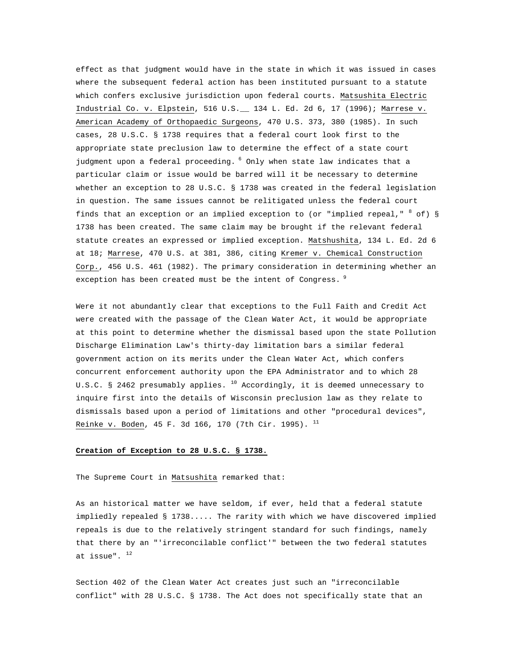effect as that judgment would have in the state in which it was issued in cases where the subsequent federal action has been instituted pursuant to a statute which confers exclusive jurisdiction upon federal courts. Matsushita Electric Industrial Co. v. Elpstein, 516 U.S.\_\_ 134 L. Ed. 2d 6, 17 (1996); Marrese v. American Academy of Orthopaedic Surgeons, 470 U.S. 373, 380 (1985). In such cases, 28 U.S.C. § 1738 requires that a federal court look first to the appropriate state preclusion law to determine the effect of a state court judgment upon a federal proceeding. 6 Only when state law indicates that a particular claim or issue would be barred will it be necessary to determine whether an exception to 28 U.S.C. § 1738 was created in the federal legislation in question. The same issues cannot be relitigated unless the federal court finds that an exception or an implied exception to (or "implied repeal,"  $^8$  of) § 1738 has been created. The same claim may be brought if the relevant federal statute creates an expressed or implied exception. Matshushita, 134 L. Ed. 2d 6 at 18; Marrese, 470 U.S. at 381, 386, citing Kremer v. Chemical Construction Corp., 456 U.S. 461 (1982). The primary consideration in determining whether an exception has been created must be the intent of Congress.  $9$ 

Were it not abundantly clear that exceptions to the Full Faith and Credit Act were created with the passage of the Clean Water Act, it would be appropriate at this point to determine whether the dismissal based upon the state Pollution Discharge Elimination Law's thirty-day limitation bars a similar federal government action on its merits under the Clean Water Act, which confers concurrent enforcement authority upon the EPA Administrator and to which 28 U.S.C. § 2462 presumably applies.  $^{10}$  Accordingly, it is deemed unnecessary to inquire first into the details of Wisconsin preclusion law as they relate to dismissals based upon a period of limitations and other "procedural devices", Reinke v. Boden, 45 F. 3d 166, 170 (7th Cir. 1995).  $^{11}$ 

## **Creation of Exception to 28 U.S.C. § 1738.**

The Supreme Court in Matsushita remarked that:

As an historical matter we have seldom, if ever, held that a federal statute impliedly repealed § 1738..... The rarity with which we have discovered implied repeals is due to the relatively stringent standard for such findings, namely that there by an "'irreconcilable conflict'" between the two federal statutes at issue".  $12$ 

Section 402 of the Clean Water Act creates just such an "irreconcilable conflict" with 28 U.S.C. § 1738. The Act does not specifically state that an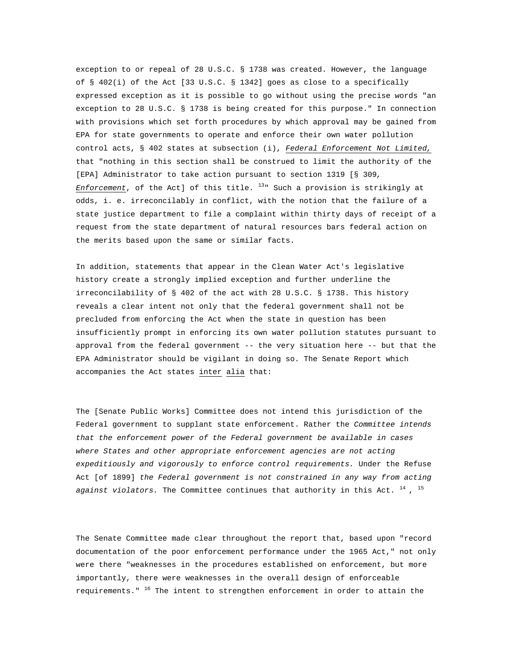exception to or repeal of 28 U.S.C. § 1738 was created. However, the language of § 402(i) of the Act [33 U.S.C. § 1342] goes as close to a specifically expressed exception as it is possible to go without using the precise words "an exception to 28 U.S.C. § 1738 is being created for this purpose." In connection with provisions which set forth procedures by which approval may be gained from EPA for state governments to operate and enforce their own water pollution control acts, § 402 states at subsection (i), *Federal Enforcement Not Limited,*  that "nothing in this section shall be construed to limit the authority of the [EPA] Administrator to take action pursuant to section 1319 [§ 309*, Enforcement*, of the Act] of this title. 13" Such a provision is strikingly at odds, i. e. irreconcilably in conflict, with the notion that the failure of a state justice department to file a complaint within thirty days of receipt of a request from the state department of natural resources bars federal action on the merits based upon the same or similar facts.

In addition, statements that appear in the Clean Water Act's legislative history create a strongly implied exception and further underline the irreconcilability of § 402 of the act with 28 U.S.C. § 1738. This history reveals a clear intent not only that the federal government shall not be precluded from enforcing the Act when the state in question has been insufficiently prompt in enforcing its own water pollution statutes pursuant to approval from the federal government -- the very situation here -- but that the EPA Administrator should be vigilant in doing so. The Senate Report which accompanies the Act states inter alia that:

The [Senate Public Works] Committee does not intend this jurisdiction of the Federal government to supplant state enforcement. Rather the *Committee intends that the enforcement power of the Federal government be available in cases where States and other appropriate enforcement agencies are not acting expeditiously and vigorously to enforce control requirements.* Under the Refuse Act [of 1899] *the Federal government is not constrained in any way from acting*  against violators. The Committee continues that authority in this Act. <sup>14</sup>, <sup>15</sup>

The Senate Committee made clear throughout the report that, based upon "record documentation of the poor enforcement performance under the 1965 Act," not only were there "weaknesses in the procedures established on enforcement, but more importantly, there were weaknesses in the overall design of enforceable requirements."  $16$  The intent to strengthen enforcement in order to attain the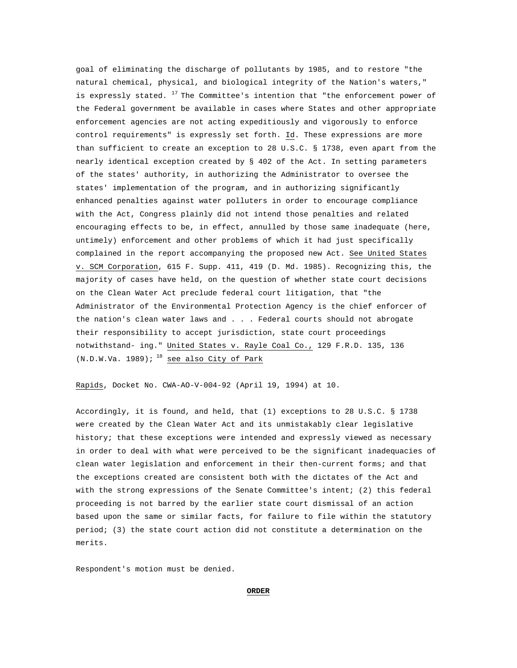goal of eliminating the discharge of pollutants by 1985, and to restore "the natural chemical, physical, and biological integrity of the Nation's waters," is expressly stated.  $^{17}$  The Committee's intention that "the enforcement power of the Federal government be available in cases where States and other appropriate enforcement agencies are not acting expeditiously and vigorously to enforce control requirements" is expressly set forth. Id. These expressions are more than sufficient to create an exception to 28 U.S.C. § 1738, even apart from the nearly identical exception created by § 402 of the Act. In setting parameters of the states' authority, in authorizing the Administrator to oversee the states' implementation of the program, and in authorizing significantly enhanced penalties against water polluters in order to encourage compliance with the Act, Congress plainly did not intend those penalties and related encouraging effects to be, in effect, annulled by those same inadequate (here, untimely) enforcement and other problems of which it had just specifically complained in the report accompanying the proposed new Act. See United States v. SCM Corporation, 615 F. Supp. 411, 419 (D. Md. 1985). Recognizing this, the majority of cases have held, on the question of whether state court decisions on the Clean Water Act preclude federal court litigation, that "the Administrator of the Environmental Protection Agency is the chief enforcer of the nation's clean water laws and . . . Federal courts should not abrogate their responsibility to accept jurisdiction, state court proceedings notwithstand- ing." United States v. Rayle Coal Co., 129 F.R.D. 135, 136  $(N.D.W.Wa. 1989)$ ; <sup>18</sup> see also City of Park

Rapids, Docket No. CWA-AO-V-004-92 (April 19, 1994) at 10.

Accordingly, it is found, and held, that (1) exceptions to 28 U.S.C. § 1738 were created by the Clean Water Act and its unmistakably clear legislative history; that these exceptions were intended and expressly viewed as necessary in order to deal with what were perceived to be the significant inadequacies of clean water legislation and enforcement in their then-current forms; and that the exceptions created are consistent both with the dictates of the Act and with the strong expressions of the Senate Committee's intent; (2) this federal proceeding is not barred by the earlier state court dismissal of an action based upon the same or similar facts, for failure to file within the statutory period; (3) the state court action did not constitute a determination on the merits.

Respondent's motion must be denied.

#### **ORDER**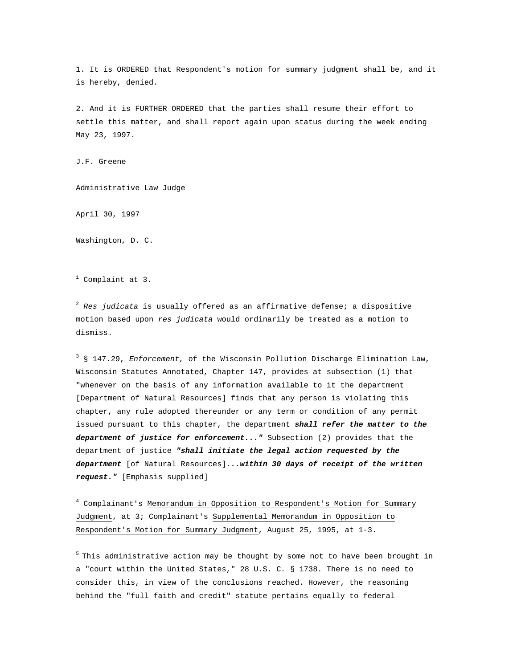1. It is ORDERED that Respondent's motion for summary judgment shall be, and it is hereby, denied.

2. And it is FURTHER ORDERED that the parties shall resume their effort to settle this matter, and shall report again upon status during the week ending May 23, 1997.

J.F. Greene

Administrative Law Judge

April 30, 1997

Washington, D. C.

<sup>1</sup> Complaint at 3.

2  *Res judicata* is usually offered as an affirmative defense; a dispositive motion based upon *res judicata* would ordinarily be treated as a motion to dismiss.

3 § 147.29, *Enforcement,* of the Wisconsin Pollution Discharge Elimination Law, Wisconsin Statutes Annotated, Chapter 147, provides at subsection (1) that "whenever on the basis of any information available to it the department [Department of Natural Resources] finds that any person is violating this chapter, any rule adopted thereunder or any term or condition of any permit issued pursuant to this chapter, the department *shall refer the matter to the department of justice for enforcement..."* Subsection (2) provides that the department of justice *"shall initiate the legal action requested by the department* [of Natural Resources]*...within 30 days of receipt of the written request."* [Emphasis supplied]

4 Complainant's Memorandum in Opposition to Respondent's Motion for Summary Judgment, at 3; Complainant's Supplemental Memorandum in Opposition to Respondent's Motion for Summary Judgment, August 25, 1995, at 1-3.

 $5$  This administrative action may be thought by some not to have been brought in a "court within the United States," 28 U.S. C*.* § 1738. There is no need to consider this, in view of the conclusions reached. However, the reasoning behind the "full faith and credit" statute pertains equally to federal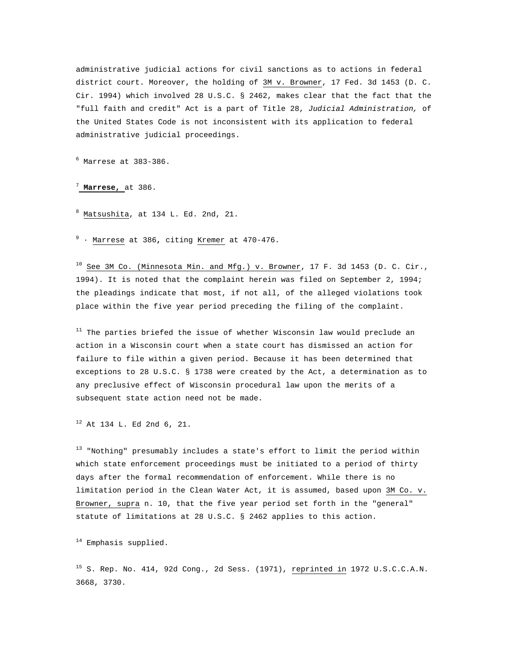administrative judicial actions for civil sanctions as to actions in federal district court. Moreover, the holding of 3M v. Browner, 17 Fed. 3d 1453 (D. C. Cir. 1994) which involved 28 U.S.C. § 2462, makes clear that the fact that the "full faith and credit" Act is a part of Title 28, *Judicial Administration,* of the United States Code is not inconsistent with its application to federal administrative judicial proceedings.

6 Marrese at 383-386.

## <sup>7</sup> **Marrese,** at 386.

8 Matsushita, at 134 L. Ed. 2nd, 21.

9 · Marrese at 386**,** citing Kremer at 470-476.

 $10$  See 3M Co. (Minnesota Min. and Mfg.) v. Browner, 17 F. 3d 1453 (D. C. Cir., 1994). It is noted that the complaint herein was filed on September 2, 1994; the pleadings indicate that most, if not all, of the alleged violations took place within the five year period preceding the filing of the complaint.

 $11$  The parties briefed the issue of whether Wisconsin law would preclude an action in a Wisconsin court when a state court has dismissed an action for failure to file within a given period. Because it has been determined that exceptions to 28 U.S.C. § 1738 were created by the Act, a determination as to any preclusive effect of Wisconsin procedural law upon the merits of a subsequent state action need not be made.

12 At 134 L. Ed 2nd 6, 21.

 $13$  "Nothing" presumably includes a state's effort to limit the period within which state enforcement proceedings must be initiated to a period of thirty days after the formal recommendation of enforcement. While there is no limitation period in the Clean Water Act, it is assumed, based upon 3M Co. v. Browner, supra n. 10, that the five year period set forth in the "general" statute of limitations at 28 U.S.C. § 2462 applies to this action.

<sup>14</sup> Emphasis supplied.

 $^{15}$  S. Rep. No. 414, 92d Cong., 2d Sess. (1971), reprinted in 1972 U.S.C.C.A.N. 3668, 3730.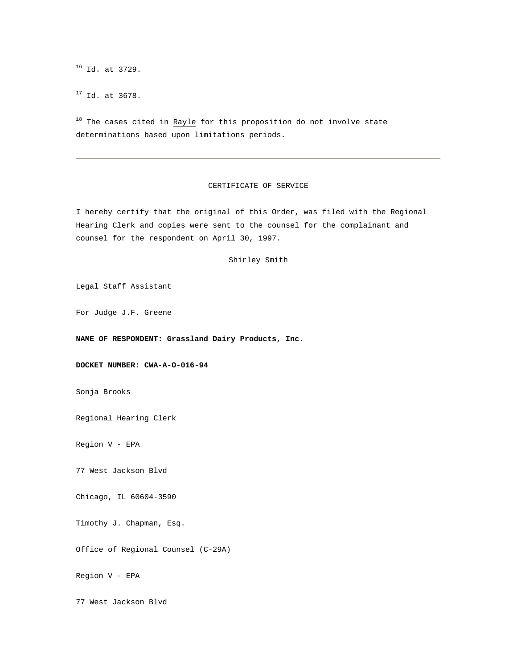16 Id. at 3729.

17 Id. at 3678.

 $18$  The cases cited in Rayle for this proposition do not involve state determinations based upon limitations periods.

## CERTIFICATE OF SERVICE

I hereby certify that the original of this Order, was filed with the Regional Hearing Clerk and copies were sent to the counsel for the complainant and counsel for the respondent on April 30, 1997.

## Shirley Smith

Legal Staff Assistant

For Judge J.F. Greene

### **NAME OF RESPONDENT: Grassland Dairy Products, Inc.**

**DOCKET NUMBER: CWA-A-O-016-94**

Sonja Brooks

Regional Hearing Clerk

Region V - EPA

77 West Jackson Blvd

Chicago, IL 60604-3590

Timothy J. Chapman, Esq.

Office of Regional Counsel (C-29A)

Region V - EPA

77 West Jackson Blvd